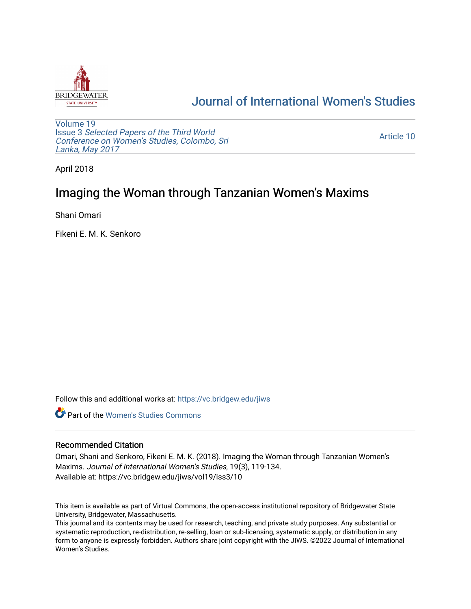

# [Journal of International Women's Studies](https://vc.bridgew.edu/jiws)

[Volume 19](https://vc.bridgew.edu/jiws/vol19) Issue 3 [Selected Papers of the Third World](https://vc.bridgew.edu/jiws/vol19/iss3) [Conference on Women's Studies, Colombo, Sri](https://vc.bridgew.edu/jiws/vol19/iss3)  [Lanka, May 2017](https://vc.bridgew.edu/jiws/vol19/iss3) 

[Article 10](https://vc.bridgew.edu/jiws/vol19/iss3/10) 

April 2018

## Imaging the Woman through Tanzanian Women's Maxims

Shani Omari

Fikeni E. M. K. Senkoro

Follow this and additional works at: [https://vc.bridgew.edu/jiws](https://vc.bridgew.edu/jiws?utm_source=vc.bridgew.edu%2Fjiws%2Fvol19%2Fiss3%2F10&utm_medium=PDF&utm_campaign=PDFCoverPages)

**C** Part of the Women's Studies Commons

#### Recommended Citation

Omari, Shani and Senkoro, Fikeni E. M. K. (2018). Imaging the Woman through Tanzanian Women's Maxims. Journal of International Women's Studies, 19(3), 119-134. Available at: https://vc.bridgew.edu/jiws/vol19/iss3/10

This item is available as part of Virtual Commons, the open-access institutional repository of Bridgewater State University, Bridgewater, Massachusetts.

This journal and its contents may be used for research, teaching, and private study purposes. Any substantial or systematic reproduction, re-distribution, re-selling, loan or sub-licensing, systematic supply, or distribution in any form to anyone is expressly forbidden. Authors share joint copyright with the JIWS. ©2022 Journal of International Women's Studies.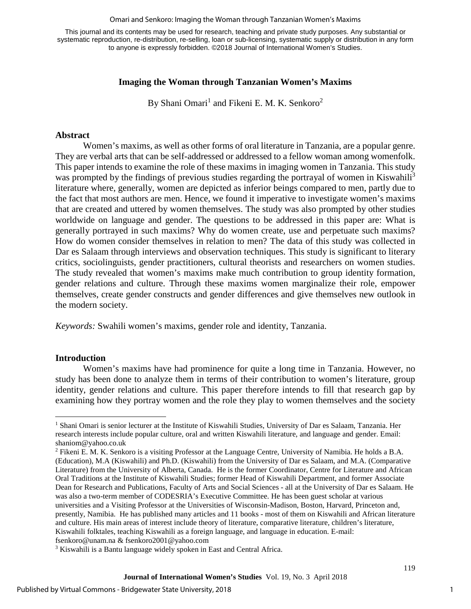#### Omari and Senkoro: Imaging the Woman through Tanzanian Women's Maxims

This journal and its contents may be used for research, teaching and private study purposes. Any substantial or systematic reproduction, re-distribution, re-selling, loan or sub-licensing, systematic supply or distribution in any form to anyone is expressly forbidden. ©2018 Journal of International Women's Studies.

#### **Imaging the Woman through Tanzanian Women's Maxims**

By Shani Omari<sup>1</sup> and Fikeni E. M. K. Senkoro<sup>2</sup>

#### **Abstract**

Women's maxims, as well as other forms of oral literature in Tanzania, are a popular genre. They are verbal arts that can be self-addressed or addressed to a fellow woman among womenfolk. This paper intends to examine the role of these maxims in imaging women in Tanzania. This study was prompted by the findings of previous studies regarding the portrayal of women in Kiswahili<sup>3</sup> literature where, generally, women are depicted as inferior beings compared to men, partly due to the fact that most authors are men. Hence, we found it imperative to investigate women's maxims that are created and uttered by women themselves. The study was also prompted by other studies worldwide on language and gender. The questions to be addressed in this paper are: What is generally portrayed in such maxims? Why do women create, use and perpetuate such maxims? How do women consider themselves in relation to men? The data of this study was collected in Dar es Salaam through interviews and observation techniques. This study is significant to literary critics, sociolinguists, gender practitioners, cultural theorists and researchers on women studies. The study revealed that women's maxims make much contribution to group identity formation, gender relations and culture. Through these maxims women marginalize their role, empower themselves, create gender constructs and gender differences and give themselves new outlook in the modern society.

*Keywords:* Swahili women's maxims, gender role and identity, Tanzania.

#### **Introduction**

Women's maxims have had prominence for quite a long time in Tanzania. However, no study has been done to analyze them in terms of their contribution to women's literature, group identity, gender relations and culture. This paper therefore intends to fill that research gap by examining how they portray women and the role they play to women themselves and the society

 $\overline{a}$ <sup>1</sup> Shani Omari is senior lecturer at the Institute of Kiswahili Studies, University of Dar es Salaam, Tanzania. Her research interests include popular culture, oral and written Kiswahili literature, and language and gender. Email: [shaniom@yahoo.co.uk](mailto:shaniom@yahoo.co.uk)

<sup>2</sup> Fikeni E. M. K. Senkoro is a visiting Professor at the Language Centre, University of Namibia. He holds a B.A. (Education), M.A (Kiswahili) and Ph.D. (Kiswahili) from the University of Dar es Salaam, and M.A. (Comparative Literature) from the University of Alberta, Canada. He is the former Coordinator, Centre for Literature and African Oral Traditions at the Institute of Kiswahili Studies; former Head of Kiswahili Department, and former Associate Dean for Research and Publications, Faculty of Arts and Social Sciences - all at the University of Dar es Salaam. He was also a two-term member of CODESRIA's Executive Committee. He has been guest scholar at various universities and a Visiting Professor at the Universities of Wisconsin-Madison, Boston, Harvard, Princeton and, presently, Namibia. He has published many articles and 11 books - most of them on Kiswahili and African literature and culture. His main areas of interest include theory of literature, comparative literature, children's literature, Kiswahili folktales, teaching Kiswahili as a foreign language, and language in education. E-mail: [fsenkoro@unam.na](mailto:fsenkoro@unam.na) & [fsenkoro2001@yahoo.com](mailto:fsenkoro2001@yahoo.com)

<sup>&</sup>lt;sup>3</sup> Kiswahili is a Bantu language widely spoken in East and Central Africa.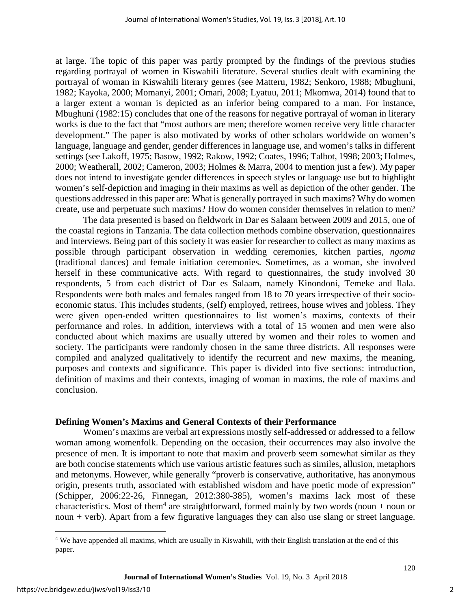at large. The topic of this paper was partly prompted by the findings of the previous studies regarding portrayal of women in Kiswahili literature. Several studies dealt with examining the portrayal of woman in Kiswahili literary genres (see Matteru, 1982; Senkoro, 1988; Mbughuni, 1982; Kayoka, 2000; Momanyi, 2001; Omari, 2008; Lyatuu, 2011; Mkomwa, 2014) found that to a larger extent a woman is depicted as an inferior being compared to a man. For instance, Mbughuni (1982:15) concludes that one of the reasons for negative portrayal of woman in literary works is due to the fact that "most authors are men; therefore women receive very little character development." The paper is also motivated by works of other scholars worldwide on women's language, language and gender, gender differences in language use, and women's talks in different settings (see Lakoff, 1975; Basow, 1992; Rakow, 1992; Coates, 1996; Talbot, 1998; 2003; Holmes, 2000; Weatherall, 2002; Cameron, 2003; Holmes & Marra, 2004 to mention just a few). My paper does not intend to investigate gender differences in speech styles or language use but to highlight women's self-depiction and imaging in their maxims as well as depiction of the other gender. The questions addressed in this paper are: What is generally portrayed in such maxims? Why do women create, use and perpetuate such maxims? How do women consider themselves in relation to men?

The data presented is based on fieldwork in Dar es Salaam between 2009 and 2015, one of the coastal regions in Tanzania. The data collection methods combine observation, questionnaires and interviews. Being part of this society it was easier for researcher to collect as many maxims as possible through participant observation in wedding ceremonies, kitchen parties, *ngoma* (traditional dances) and female initiation ceremonies. Sometimes, as a woman, she involved herself in these communicative acts. With regard to questionnaires, the study involved 30 respondents, 5 from each district of Dar es Salaam, namely Kinondoni, Temeke and Ilala. Respondents were both males and females ranged from 18 to 70 years irrespective of their socioeconomic status. This includes students, (self) employed, retirees, house wives and jobless. They were given open-ended written questionnaires to list women's maxims, contexts of their performance and roles. In addition, interviews with a total of 15 women and men were also conducted about which maxims are usually uttered by women and their roles to women and society. The participants were randomly chosen in the same three districts. All responses were compiled and analyzed qualitatively to identify the recurrent and new maxims, the meaning, purposes and contexts and significance. This paper is divided into five sections: introduction, definition of maxims and their contexts, imaging of woman in maxims, the role of maxims and conclusion.

#### **Defining Women's Maxims and General Contexts of their Performance**

Women's maxims are verbal art expressions mostly self-addressed or addressed to a fellow woman among womenfolk. Depending on the occasion, their occurrences may also involve the presence of men. It is important to note that maxim and proverb seem somewhat similar as they are both concise statements which use various artistic features such as similes, allusion, metaphors and metonyms. However, while generally "proverb is conservative, authoritative, has anonymous origin, presents truth, associated with established wisdom and have poetic mode of expression" (Schipper, 2006:22-26, Finnegan, 2012:380-385), women's maxims lack most of these characteristics. Most of them<sup>4</sup> are straightforward, formed mainly by two words (noun + noun or noun + verb). Apart from a few figurative languages they can also use slang or street language.

 $\overline{a}$ <sup>4</sup> We have appended all maxims, which are usually in Kiswahili, with their English translation at the end of this paper.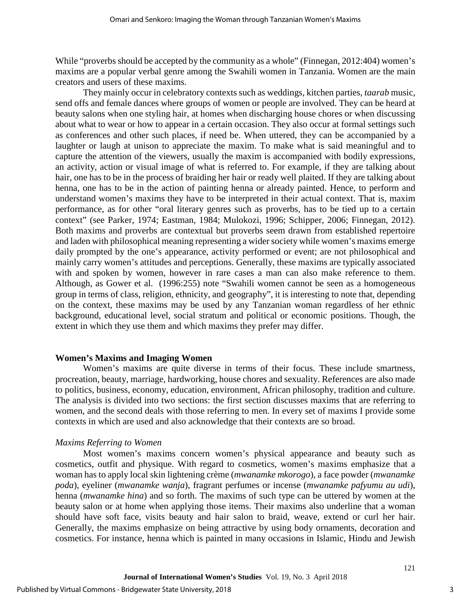While "proverbs should be accepted by the community as a whole" (Finnegan, 2012:404) women's maxims are a popular verbal genre among the Swahili women in Tanzania. Women are the main creators and users of these maxims.

They mainly occur in celebratory contexts such as weddings, kitchen parties, *taarab* music, send offs and female dances where groups of women or people are involved. They can be heard at beauty salons when one styling hair, at homes when discharging house chores or when discussing about what to wear or how to appear in a certain occasion. They also occur at formal settings such as conferences and other such places, if need be. When uttered, they can be accompanied by a laughter or laugh at unison to appreciate the maxim. To make what is said meaningful and to capture the attention of the viewers, usually the maxim is accompanied with bodily expressions, an activity, action or visual image of what is referred to. For example, if they are talking about hair, one has to be in the process of braiding her hair or ready well plaited. If they are talking about henna, one has to be in the action of painting henna or already painted. Hence, to perform and understand women's maxims they have to be interpreted in their actual context. That is, maxim performance, as for other "oral literary genres such as proverbs, has to be tied up to a certain context" (see Parker, 1974; Eastman, 1984; Mulokozi, 1996; Schipper, 2006; Finnegan, 2012). Both maxims and proverbs are contextual but proverbs seem drawn from established repertoire and laden with philosophical meaning representing a wider society while women's maxims emerge daily prompted by the one's appearance, activity performed or event; are not philosophical and mainly carry women's attitudes and perceptions. Generally, these maxims are typically associated with and spoken by women, however in rare cases a man can also make reference to them. Although, as Gower et al. (1996:255) note "Swahili women cannot be seen as a homogeneous group in terms of class, religion, ethnicity, and geography", it is interesting to note that, depending on the context, these maxims may be used by any Tanzanian woman regardless of her ethnic background, educational level, social stratum and political or economic positions. Though, the extent in which they use them and which maxims they prefer may differ.

#### **Women's Maxims and Imaging Women**

Women's maxims are quite diverse in terms of their focus. These include smartness, procreation, beauty, marriage, hardworking, house chores and sexuality. References are also made to politics, business, economy, education, environment, African philosophy, tradition and culture. The analysis is divided into two sections: the first section discusses maxims that are referring to women, and the second deals with those referring to men. In every set of maxims I provide some contexts in which are used and also acknowledge that their contexts are so broad.

#### *Maxims Referring to Women*

Most women's maxims concern women's physical appearance and beauty such as cosmetics, outfit and physique. With regard to cosmetics, women's maxims emphasize that a woman has to apply local skin lightening crème (*mwanamke mkorogo*), a face powder (*mwanamke poda*), eyeliner (*mwanamke wanja*), fragrant perfumes or incense (*mwanamke pafyumu au udi*), henna (*mwanamke hina*) and so forth. The maxims of such type can be uttered by women at the beauty salon or at home when applying those items. Their maxims also underline that a woman should have soft face, visits beauty and hair salon to braid, weave, extend or curl her hair. Generally, the maxims emphasize on being attractive by using body ornaments, decoration and cosmetics. For instance, henna which is painted in many occasions in Islamic, Hindu and Jewish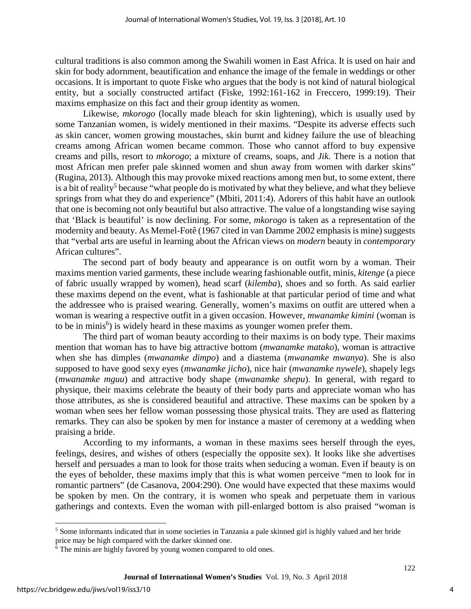cultural traditions is also common among the Swahili women in East Africa. It is used on hair and skin for body adornment, beautification and enhance the image of the female in weddings or other occasions. It is important to quote Fiske who argues that the body is not kind of natural biological entity, but a socially constructed artifact (Fiske, 1992:161-162 in Freccero, 1999:19). Their maxims emphasize on this fact and their group identity as women.

Likewise, *mkorogo* (locally made bleach for skin lightening), which is usually used by some Tanzanian women, is widely mentioned in their maxims. "Despite its adverse effects such as skin cancer, women growing moustaches, skin burnt and kidney failure the use of bleaching creams among African women became common. Those who cannot afford to buy expensive creams and pills, resort to *mkorogo*; a mixture of creams, soaps, and *Jik*. There is a notion that most African men prefer pale skinned women and shun away from women with darker skins" (Rugina, 2013). Although this may provoke mixed reactions among men but, to some extent, there is a bit of reality<sup>5</sup> because "what people do is motivated by what they believe, and what they believe springs from what they do and experience" (Mbiti, 2011:4). Adorers of this habit have an outlook that one is becoming not only beautiful but also attractive. The value of a longstanding wise saying that 'Black is beautiful' is now declining. For some, *mkorogo* is taken as a representation of the modernity and beauty. As Memel-Fotê (1967 cited in van Damme 2002 emphasis is mine) suggests that "verbal arts are useful in learning about the African views on *modern* beauty in *contemporary*  African cultures".

The second part of body beauty and appearance is on outfit worn by a woman. Their maxims mention varied garments, these include wearing fashionable outfit, minis, *kitenge* (a piece of fabric usually wrapped by women), head scarf (*kilemba*), shoes and so forth. As said earlier these maxims depend on the event, what is fashionable at that particular period of time and what the addressee who is praised wearing. Generally, women's maxims on outfit are uttered when a woman is wearing a respective outfit in a given occasion. However, *mwanamke kimini* (woman is to be in minis $<sup>6</sup>$ ) is widely heard in these maxims as younger women prefer them.</sup>

The third part of woman beauty according to their maxims is on body type. Their maxims mention that woman has to have big attractive bottom (*mwanamke matako*), woman is attractive when she has dimples (*mwanamke dimpo*) and a diastema (*mwanamke mwanya*). She is also supposed to have good sexy eyes (*mwanamke jicho*), nice hair (*mwanamke nywele*), shapely legs (*mwanamke mguu*) and attractive body shape (*mwanamke shepu*). In general, with regard to physique, their maxims celebrate the beauty of their body parts and appreciate woman who has those attributes, as she is considered beautiful and attractive. These maxims can be spoken by a woman when sees her fellow woman possessing those physical traits. They are used as flattering remarks. They can also be spoken by men for instance a master of ceremony at a wedding when praising a bride.

According to my informants, a woman in these maxims sees herself through the eyes, feelings, desires, and wishes of others (especially the opposite sex). It looks like she advertises herself and persuades a man to look for those traits when seducing a woman. Even if beauty is on the eyes of beholder, these maxims imply that this is what women perceive "men to look for in romantic partners" (de Casanova, 2004:290). One would have expected that these maxims would be spoken by men. On the contrary, it is women who speak and perpetuate them in various gatherings and contexts. Even the woman with pill-enlarged bottom is also praised "woman is

 $\overline{a}$ <sup>5</sup> Some informants indicated that in some societies in Tanzania a pale skinned girl is highly valued and her bride price may be high compared with the darker skinned one.<br><sup>6</sup> The minis are highly favored by young women compared to old ones.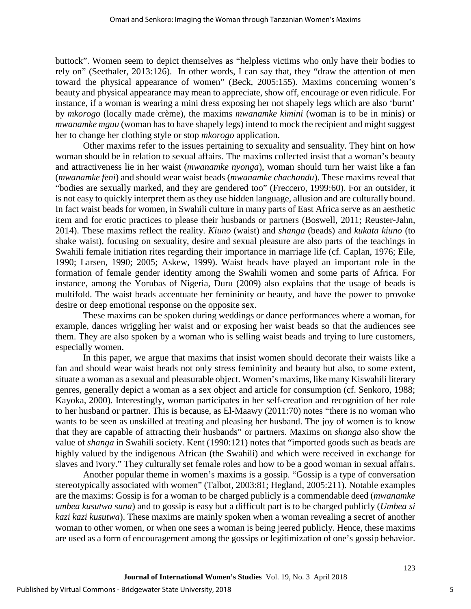buttock". Women seem to depict themselves as "helpless victims who only have their bodies to rely on" (Seethaler, 2013:126). In other words, I can say that, they "draw the attention of men toward the physical appearance of women" (Beck, 2005:155). Maxims concerning women's beauty and physical appearance may mean to appreciate, show off, encourage or even ridicule. For instance, if a woman is wearing a mini dress exposing her not shapely legs which are also 'burnt' by *mkorogo* (locally made crème), the maxims *mwanamke kimini* (woman is to be in minis) or *mwanamke mguu* (woman has to have shapely legs) intend to mock the recipient and might suggest her to change her clothing style or stop *mkorogo* application.

Other maxims refer to the issues pertaining to sexuality and sensuality. They hint on how woman should be in relation to sexual affairs. The maxims collected insist that a woman's beauty and attractiveness lie in her waist (*mwanamke nyonga*), woman should turn her waist like a fan (*mwanamke feni*) and should wear waist beads (*mwanamke chachandu*). These maxims reveal that "bodies are sexually marked, and they are gendered too" (Freccero, 1999:60). For an outsider, it is not easy to quickly interpret them as they use hidden language, allusion and are culturally bound. In fact waist beads for women, in Swahili culture in many parts of East Africa serve as an aesthetic item and for erotic practices to please their husbands or partners (Boswell, 2011; Reuster-Jahn, 2014). These maxims reflect the reality. *Kiuno* (waist) and *shanga* (beads) and *kukata kiuno* (to shake waist), focusing on sexuality, desire and sexual pleasure are also parts of the teachings in Swahili female initiation rites regarding their importance in marriage life (cf. Caplan, 1976; Eile, 1990; Larsen, 1990; 2005; Askew, 1999). Waist beads have played an important role in the formation of female gender identity among the Swahili women and some parts of Africa. For instance, among the Yorubas of Nigeria, Duru (2009) also explains that the usage of beads is multifold. The waist beads accentuate her femininity or beauty, and have the power to provoke desire or deep emotional response on the opposite sex.

These maxims can be spoken during weddings or dance performances where a woman, for example, dances wriggling her waist and or exposing her waist beads so that the audiences see them. They are also spoken by a woman who is selling waist beads and trying to lure customers, especially women.

In this paper, we argue that maxims that insist women should decorate their waists like a fan and should wear waist beads not only stress femininity and beauty but also, to some extent, situate a woman as a sexual and pleasurable object. Women's maxims, like many Kiswahili literary genres, generally depict a woman as a sex object and article for consumption (cf. Senkoro, 1988; Kayoka, 2000). Interestingly, woman participates in her self-creation and recognition of her role to her husband or partner. This is because, as El-Maawy (2011:70) notes "there is no woman who wants to be seen as unskilled at treating and pleasing her husband. The joy of women is to know that they are capable of attracting their husbands" or partners. Maxims on *shanga* also show the value of *shanga* in Swahili society. Kent (1990:121) notes that "imported goods such as beads are highly valued by the indigenous African (the Swahili) and which were received in exchange for slaves and ivory." They culturally set female roles and how to be a good woman in sexual affairs.

Another popular theme in women's maxims is a gossip. "Gossip is a type of conversation stereotypically associated with women" (Talbot, 2003:81; Hegland, 2005:211). Notable examples are the maxims: Gossip is for a woman to be charged publicly is a commendable deed (*mwanamke umbea kusutwa suna*) and to gossip is easy but a difficult part is to be charged publicly (*Umbea si kazi kazi kusutwa*). These maxims are mainly spoken when a woman revealing a secret of another woman to other women, or when one sees a woman is being jeered publicly. Hence, these maxims are used as a form of encouragement among the gossips or legitimization of one's gossip behavior.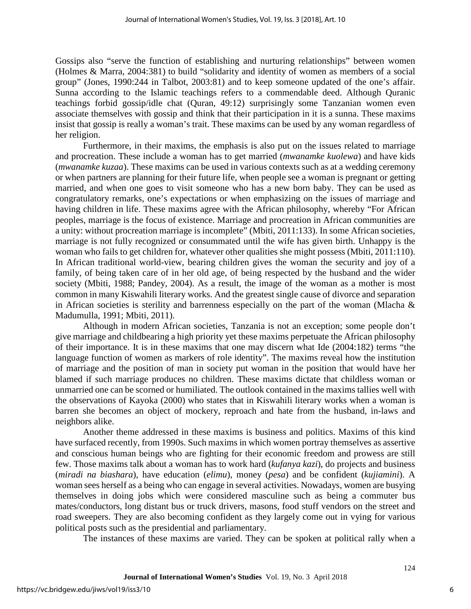Gossips also "serve the function of establishing and nurturing relationships" between women (Holmes & Marra, 2004:381) to build "solidarity and identity of women as members of a social group" (Jones, 1990:244 in Talbot, 2003:81) and to keep someone updated of the one's affair. Sunna according to the Islamic teachings refers to a commendable deed. Although Quranic teachings forbid gossip/idle chat (Quran, 49:12) surprisingly some Tanzanian women even associate themselves with gossip and think that their participation in it is a sunna. These maxims insist that gossip is really a woman's trait. These maxims can be used by any woman regardless of her religion.

Furthermore, in their maxims, the emphasis is also put on the issues related to marriage and procreation. These include a woman has to get married (*mwanamke kuolewa*) and have kids (*mwanamke kuzaa*). These maxims can be used in various contexts such as at a wedding ceremony or when partners are planning for their future life, when people see a woman is pregnant or getting married, and when one goes to visit someone who has a new born baby. They can be used as congratulatory remarks, one's expectations or when emphasizing on the issues of marriage and having children in life. These maxims agree with the African philosophy, whereby "For African peoples, marriage is the focus of existence. Marriage and procreation in African communities are a unity: without procreation marriage is incomplete" (Mbiti, 2011:133). In some African societies, marriage is not fully recognized or consummated until the wife has given birth. Unhappy is the woman who fails to get children for, whatever other qualities she might possess (Mbiti, 2011:110). In African traditional world-view, bearing children gives the woman the security and joy of a family, of being taken care of in her old age, of being respected by the husband and the wider society (Mbiti, 1988; Pandey, 2004). As a result, the image of the woman as a mother is most common in many Kiswahili literary works. And the greatest single cause of divorce and separation in African societies is sterility and barrenness especially on the part of the woman (Mlacha  $\&$ Madumulla, 1991; Mbiti, 2011).

Although in modern African societies, Tanzania is not an exception; some people don't give marriage and childbearing a high priority yet these maxims perpetuate the African philosophy of their importance. It is in these maxims that one may discern what Ide (2004:182) terms "the language function of women as markers of role identity". The maxims reveal how the institution of marriage and the position of man in society put woman in the position that would have her blamed if such marriage produces no children. These maxims dictate that childless woman or unmarried one can be scorned or humiliated. The outlook contained in the maxims tallies well with the observations of Kayoka (2000) who states that in Kiswahili literary works when a woman is barren she becomes an object of mockery, reproach and hate from the husband, in-laws and neighbors alike.

Another theme addressed in these maxims is business and politics. Maxims of this kind have surfaced recently, from 1990s. Such maxims in which women portray themselves as assertive and conscious human beings who are fighting for their economic freedom and prowess are still few. Those maxims talk about a woman has to work hard (*kufanya kazi*), do projects and business (*miradi na biashara*), have education (*elimu*), money (*pesa*) and be confident (*kujiamini*). A woman sees herself as a being who can engage in several activities. Nowadays, women are busying themselves in doing jobs which were considered masculine such as being a commuter bus mates/conductors, long distant bus or truck drivers, masons, food stuff vendors on the street and road sweepers. They are also becoming confident as they largely come out in vying for various political posts such as the presidential and parliamentary.

The instances of these maxims are varied. They can be spoken at political rally when a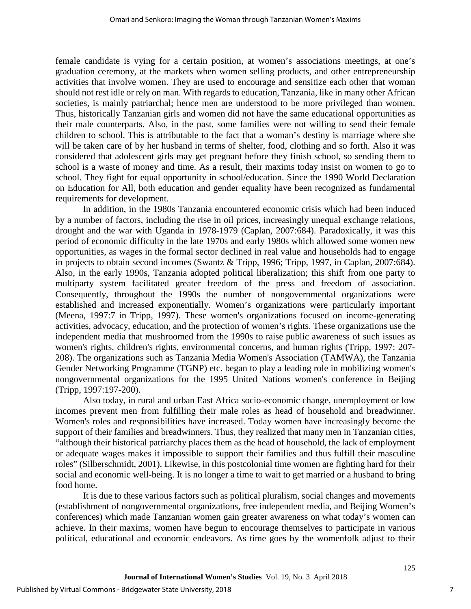female candidate is vying for a certain position, at women's associations meetings, at one's graduation ceremony, at the markets when women selling products, and other entrepreneurship activities that involve women. They are used to encourage and sensitize each other that woman should not rest idle or rely on man. With regards to education, Tanzania, like in many other African societies, is mainly patriarchal; hence men are understood to be more privileged than women. Thus, historically Tanzanian girls and women did not have the same educational opportunities as their male counterparts. Also, in the past, some families were not willing to send their female children to school. This is attributable to the fact that a woman's destiny is marriage where she will be taken care of by her husband in terms of shelter, food, clothing and so forth. Also it was considered that adolescent girls may get pregnant before they finish school, so sending them to school is a waste of money and time. As a result, their maxims today insist on women to go to school. They fight for equal opportunity in school/education. Since the 1990 World Declaration on Education for All, both education and gender equality have been recognized as fundamental requirements for development.

In addition, in the 1980s Tanzania encountered economic crisis which had been induced by a number of factors, including the rise in oil prices, increasingly unequal exchange relations, drought and the war with Uganda in 1978-1979 (Caplan, 2007:684). Paradoxically, it was this period of economic difficulty in the late 1970s and early 1980s which allowed some women new opportunities, as wages in the formal sector declined in real value and households had to engage in projects to obtain second incomes (Swantz & Tripp, 1996; Tripp, 1997, in Caplan, 2007:684). Also, in the early 1990s, Tanzania adopted political liberalization; this shift from one party to multiparty system facilitated greater freedom of the press and freedom of association. Consequently, throughout the 1990s the number of nongovernmental organizations were established and increased exponentially. Women's organizations were particularly important (Meena, 1997:7 in Tripp, 1997). These women's organizations focused on income-generating activities, advocacy, education, and the protection of women's rights. These organizations use the independent media that mushroomed from the 1990s to raise public awareness of such issues as women's rights, children's rights, environmental concerns, and human rights (Tripp, 1997: 207- 208). The organizations such as Tanzania Media Women's Association (TAMWA), the Tanzania Gender Networking Programme (TGNP) etc. began to play a leading role in mobilizing women's nongovernmental organizations for the 1995 United Nations women's conference in Beijing (Tripp, 1997:197-200).

Also today, in rural and urban East Africa socio-economic change, unemployment or low incomes prevent men from fulfilling their male roles as head of household and breadwinner. Women's roles and responsibilities have increased. Today women have increasingly become the support of their families and breadwinners. Thus, they realized that many men in Tanzanian cities, "although their historical patriarchy places them as the head of household, the lack of employment or adequate wages makes it impossible to support their families and thus fulfill their masculine roles" (Silberschmidt, 2001). Likewise, in this postcolonial time women are fighting hard for their social and economic well-being. It is no longer a time to wait to get married or a husband to bring food home.

It is due to these various factors such as political pluralism, social changes and movements (establishment of nongovernmental organizations, free independent media, and Beijing Women's conferences) which made Tanzanian women gain greater awareness on what today's women can achieve. In their maxims, women have begun to encourage themselves to participate in various political, educational and economic endeavors. As time goes by the womenfolk adjust to their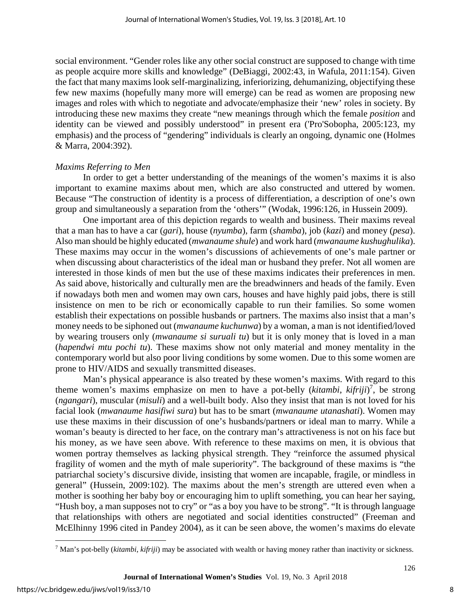social environment. "Gender roles like any other social construct are supposed to change with time as people acquire more skills and knowledge" (DeBiaggi, 2002:43, in Wafula, 2011:154). Given the fact that many maxims look self-marginalizing, inferiorizing, dehumanizing, objectifying these few new maxims (hopefully many more will emerge) can be read as women are proposing new images and roles with which to negotiate and advocate/emphasize their 'new' roles in society. By introducing these new maxims they create "new meanings through which the female *position* and identity can be viewed and possibly understood" in present era ('Pro'Sobopha, 2005:123, my emphasis) and the process of "gendering" individuals is clearly an ongoing, dynamic one (Holmes & Marra, 2004:392).

#### *Maxims Referring to Men*

In order to get a better understanding of the meanings of the women's maxims it is also important to examine maxims about men, which are also constructed and uttered by women. Because "The construction of identity is a process of differentiation, a description of one's own group and simultaneously a separation from the 'others'" (Wodak, 1996:126, in Hussein 2009).

One important area of this depiction regards to wealth and business. Their maxims reveal that a man has to have a car (*gari*), house (*nyumba*), farm (*shamba*), job (*kazi*) and money (*pesa*). Also man should be highly educated (*mwanaume shule*) and work hard (*mwanaume kushughulika*). These maxims may occur in the women's discussions of achievements of one's male partner or when discussing about characteristics of the ideal man or husband they prefer. Not all women are interested in those kinds of men but the use of these maxims indicates their preferences in men. As said above, historically and culturally men are the breadwinners and heads of the family. Even if nowadays both men and women may own cars, houses and have highly paid jobs, there is still insistence on men to be rich or economically capable to run their families. So some women establish their expectations on possible husbands or partners. The maxims also insist that a man's money needs to be siphoned out (*mwanaume kuchunwa*) by a woman, a man is not identified/loved by wearing trousers only (*mwanaume si suruali tu*) but it is only money that is loved in a man (*hapendwi mtu pochi tu*). These maxims show not only material and money mentality in the contemporary world but also poor living conditions by some women. Due to this some women are prone to HIV/AIDS and sexually transmitted diseases.

Man's physical appearance is also treated by these women's maxims. With regard to this theme women's maxims emphasize on men to have a pot-belly (*kitambi*, *kifriji*) 7 , be strong (*ngangari*), muscular (*misuli*) and a well-built body. Also they insist that man is not loved for his facial look (*mwanaume hasifiwi sura*) but has to be smart (*mwanaume utanashati*). Women may use these maxims in their discussion of one's husbands/partners or ideal man to marry. While a woman's beauty is directed to her face, on the contrary man's attractiveness is not on his face but his money, as we have seen above. With reference to these maxims on men, it is obvious that women portray themselves as lacking physical strength. They "reinforce the assumed physical fragility of women and the myth of male superiority". The background of these maxims is "the patriarchal society's discursive divide, insisting that women are incapable, fragile, or mindless in general" (Hussein, 2009:102). The maxims about the men's strength are uttered even when a mother is soothing her baby boy or encouraging him to uplift something, you can hear her saying, "Hush boy, a man supposes not to cry" or "as a boy you have to be strong". "It is through language that relationships with others are negotiated and social identities constructed" (Freeman and McElhinny 1996 cited in Pandey 2004), as it can be seen above, the women's maxims do elevate

 $\overline{a}$ 

<sup>7</sup> Man's pot-belly (*kitambi*, *kifriji*) may be associated with wealth or having money rather than inactivity or sickness.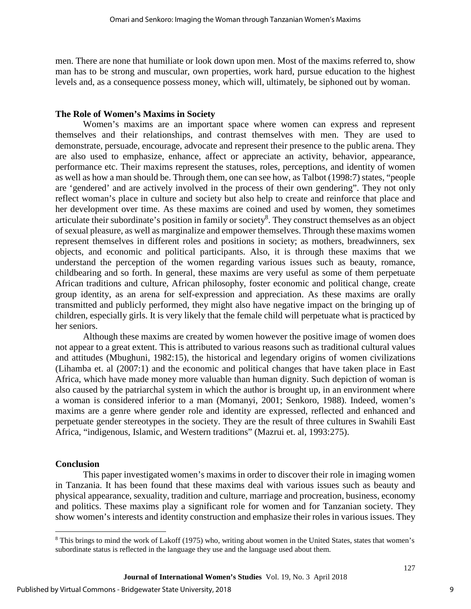men. There are none that humiliate or look down upon men. Most of the maxims referred to, show man has to be strong and muscular, own properties, work hard, pursue education to the highest levels and, as a consequence possess money, which will, ultimately, be siphoned out by woman.

#### **The Role of Women's Maxims in Society**

Women's maxims are an important space where women can express and represent themselves and their relationships, and contrast themselves with men. They are used to demonstrate, persuade, encourage, advocate and represent their presence to the public arena. They are also used to emphasize, enhance, affect or appreciate an activity, behavior, appearance, performance etc. Their maxims represent the statuses, roles, perceptions, and identity of women as well as how a man should be. Through them, one can see how, as Talbot (1998:7) states, "people are 'gendered' and are actively involved in the process of their own gendering". They not only reflect woman's place in culture and society but also help to create and reinforce that place and her development over time. As these maxims are coined and used by women, they sometimes articulate their subordinate's position in family or society<sup>8</sup>. They construct themselves as an object of sexual pleasure, as well as marginalize and empower themselves. Through these maxims women represent themselves in different roles and positions in society; as mothers, breadwinners, sex objects, and economic and political participants. Also, it is through these maxims that we understand the perception of the women regarding various issues such as beauty, romance, childbearing and so forth. In general, these maxims are very useful as some of them perpetuate African traditions and culture, African philosophy, foster economic and political change, create group identity, as an arena for self-expression and appreciation. As these maxims are orally transmitted and publicly performed, they might also have negative impact on the bringing up of children, especially girls. It is very likely that the female child will perpetuate what is practiced by her seniors.

Although these maxims are created by women however the positive image of women does not appear to a great extent. This is attributed to various reasons such as traditional cultural values and attitudes (Mbughuni, 1982:15), the historical and legendary origins of women civilizations (Lihamba et. al (2007:1) and the economic and political changes that have taken place in East Africa, which have made money more valuable than human dignity. Such depiction of woman is also caused by the patriarchal system in which the author is brought up, in an environment where a woman is considered inferior to a man (Momanyi, 2001; Senkoro, 1988). Indeed, women's maxims are a genre where gender role and identity are expressed, reflected and enhanced and perpetuate gender stereotypes in the society. They are the result of three cultures in Swahili East Africa, "indigenous, Islamic, and Western traditions" (Mazrui et. al, 1993:275).

#### **Conclusion**

 $\overline{a}$ 

This paper investigated women's maxims in order to discover their role in imaging women in Tanzania. It has been found that these maxims deal with various issues such as beauty and physical appearance, sexuality, tradition and culture, marriage and procreation, business, economy and politics. These maxims play a significant role for women and for Tanzanian society. They show women's interests and identity construction and emphasize their roles in various issues. They

<sup>8</sup> This brings to mind the work of Lakoff (1975) who, writing about women in the United States, states that women's subordinate status is reflected in the language they use and the language used about them.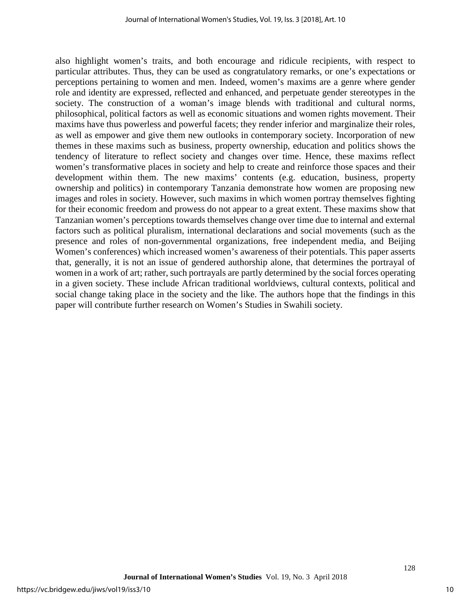also highlight women's traits, and both encourage and ridicule recipients, with respect to particular attributes. Thus, they can be used as congratulatory remarks, or one's expectations or perceptions pertaining to women and men. Indeed, women's maxims are a genre where gender role and identity are expressed, reflected and enhanced, and perpetuate gender stereotypes in the society. The construction of a woman's image blends with traditional and cultural norms, philosophical, political factors as well as economic situations and women rights movement. Their maxims have thus powerless and powerful facets; they render inferior and marginalize their roles, as well as empower and give them new outlooks in contemporary society. Incorporation of new themes in these maxims such as business, property ownership, education and politics shows the tendency of literature to reflect society and changes over time. Hence, these maxims reflect women's transformative places in society and help to create and reinforce those spaces and their development within them. The new maxims' contents (e.g. education, business, property ownership and politics) in contemporary Tanzania demonstrate how women are proposing new images and roles in society. However, such maxims in which women portray themselves fighting for their economic freedom and prowess do not appear to a great extent. These maxims show that Tanzanian women's perceptions towards themselves change over time due to internal and external factors such as political pluralism, international declarations and social movements (such as the presence and roles of non-governmental organizations, free independent media, and Beijing Women's conferences) which increased women's awareness of their potentials. This paper asserts that, generally, it is not an issue of gendered authorship alone, that determines the portrayal of women in a work of art; rather, such portrayals are partly determined by the social forces operating in a given society. These include African traditional worldviews, cultural contexts, political and social change taking place in the society and the like. The authors hope that the findings in this paper will contribute further research on Women's Studies in Swahili society.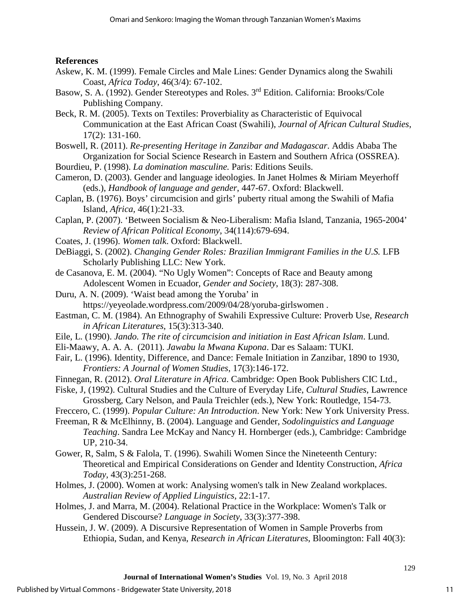#### **References**

- Askew, K. M. (1999). Female Circles and Male Lines: Gender Dynamics along the Swahili Coast, *Africa Today*, 46(3/4): 67-102.
- Basow, S. A. (1992). Gender Stereotypes and Roles. 3<sup>rd</sup> Edition. California: Brooks/Cole Publishing Company.
- Beck, R. M. (2005). Texts on Textiles: Proverbiality as Characteristic of Equivocal Communication at the East African Coast (Swahili), *Journal of African Cultural Studies*, 17(2): 131-160.
- Boswell, R. (2011). *Re-presenting Heritage in Zanzibar and Madagascar*. Addis Ababa The Organization for Social Science Research in Eastern and Southern Africa (OSSREA).
- Bourdieu, P. (1998). *La domination masculine.* Paris: Editions Seuils.
- Cameron, D. (2003). Gender and language ideologies. In Janet Holmes & Miriam Meyerhoff (eds.), *Handbook of language and gender*, 447-67. Oxford: Blackwell.
- Caplan, B. (1976). Boys' circumcision and girls' puberty ritual among the Swahili of Mafia Island, *Africa,* 46(1):21-33.
- Caplan, P. (2007). 'Between Socialism & Neo-Liberalism: Mafia Island, Tanzania, 1965-2004' *Review of African Political Economy*, 34(114):679-694.
- Coates, J. (1996). *Women talk*. Oxford: Blackwell.
- DeBiaggi, S. (2002). *Changing Gender Roles: Brazilian Immigrant Families in the U.S.* LFB Scholarly Publishing LLC: New York.
- de Casanova, E. M. (2004). "No Ugly Women": Concepts of Race and Beauty among Adolescent Women in Ecuador, *Gender and Society*, 18(3): 287-308.
- Duru, A. N. (2009). 'Waist bead among the Yoruba' in https://yeyeolade.wordpress.com/2009/04/28/yoruba-girlswomen .
- Eastman, C. M. (1984). An Ethnography of Swahili Expressive Culture: Proverb Use, *Research in African Literatures*, 15(3):313-340.
- Eile, L. (1990). *Jando. The rite of circumcision and initiation in East African Islam*. Lund.
- Eli-Maawy, A. A. A. (2011). *Jawabu la Mwana Kupona*. Dar es Salaam: TUKI.
- Fair, L. (1996). Identity, Difference, and Dance: Female Initiation in Zanzibar, 1890 to 1930, *Frontiers: A Journal of Women Studies*, 17(3):146-172.
- Finnegan, R. (2012). *Oral Literature in Africa*. Cambridge: Open Book Publishers CIC Ltd.,
- Fiske, J, (1992). Cultural Studies and the Culture of Everyday Life, *Cultural Studies*, Lawrence Grossberg, Cary Nelson, and Paula Treichler (eds.), New York: Routledge, 154-73.
- Freccero, C. (1999). *Popular Culture: An Introduction*. New York: New York University Press.
- Freeman, R & McElhinny, B. (2004). Language and Gender, *Sodolinguistics and Language Teaching*. Sandra Lee McKay and Nancy H. Hornberger (eds.), Cambridge: Cambridge UP, 210-34.
- Gower, R, Salm, S & Falola, T. (1996). Swahili Women Since the Nineteenth Century: Theoretical and Empirical Considerations on Gender and Identity Construction, *Africa Today*, 43(3):251-268.
- Holmes, J. (2000). Women at work: Analysing women's talk in New Zealand workplaces. *Australian Review of Applied Linguistics*, 22:1-17.
- Holmes, J. and Marra, M. (2004). Relational Practice in the Workplace: Women's Talk or Gendered Discourse? *Language in Society*, 33(3):377-398.
- Hussein, J. W. (2009). A Discursive Representation of Women in Sample Proverbs from Ethiopia, Sudan, and Kenya, *Research in African Literatures*, Bloomington: Fall 40(3):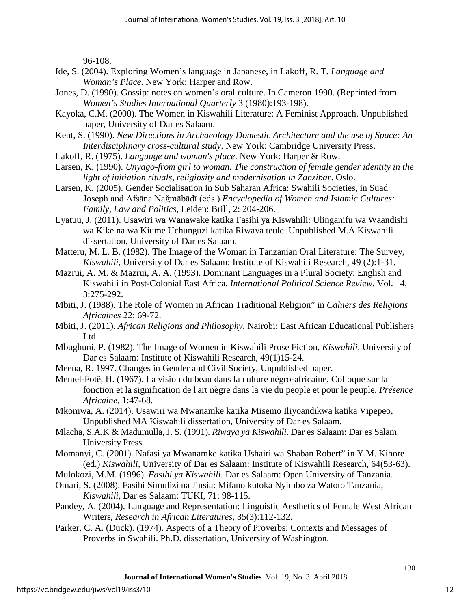96-108.

- Ide, S. (2004). Exploring Women's language in Japanese, in Lakoff, R. T. *Language and Woman's Place*. New York: Harper and Row.
- Jones, D. (1990). Gossip: notes on women's oral culture. In Cameron 1990. (Reprinted from *Women's Studies International Quarterly* 3 (1980):193-198).
- Kayoka, C.M. (2000). The Women in Kiswahili Literature: A Feminist Approach. Unpublished paper, University of Dar es Salaam.
- Kent, S. (1990). *New Directions in Archaeology Domestic Architecture and the use of Space: An Interdisciplinary cross-cultural study*. New York: Cambridge University Press.
- Lakoff, R. (1975). *Language and woman's place*. New York: Harper & Row.
- Larsen, K. (1990). *Unyago-from girl to woman. The construction of female gender identity in the light of initiation rituals, religiosity and modernisation in Zanzibar*. Oslo.
- Larsen, K. (2005). Gender Socialisation in Sub Saharan Africa: Swahili Societies, in Suad Joseph and Afsāna Naǧmābādī (eds.) *Encyclopedia of Women and Islamic Cultures: Family, Law and Politics*, Leiden: Brill, 2: 204-206.
- Lyatuu, J. (2011). Usawiri wa Wanawake katika Fasihi ya Kiswahili: Ulinganifu wa Waandishi wa Kike na wa Kiume Uchunguzi katika Riwaya teule. Unpublished M.A Kiswahili dissertation, University of Dar es Salaam.
- Matteru, M. L. B. (1982). The Image of the Woman in Tanzanian Oral Literature: The Survey, *Kiswahili,* University of Dar es Salaam: Institute of Kiswahili Research, 49 (2):1-31.
- Mazrui, A. M. & Mazrui, A. A. (1993). Dominant Languages in a Plural Society: English and Kiswahili in Post-Colonial East Africa, *International Political Science Review*, Vol. 14, 3:275-292.
- Mbiti, J. (1988). The Role of Women in African Traditional Religion" in *Cahiers des Religions Africaines* 22: 69-72.
- Mbiti, J. (2011). *African Religions and Philosophy*. Nairobi: East African Educational Publishers Ltd.
- Mbughuni, P. (1982). The Image of Women in Kiswahili Prose Fiction, *Kiswahili,* University of Dar es Salaam: Institute of Kiswahili Research, 49(1)15-24.
- Meena, R. 1997. Changes in Gender and Civil Society, Unpublished paper.
- Memel-Fotê, H. (1967). La vision du beau dans la culture négro-africaine. Colloque sur la fonction et la signification de l'art nègre dans la vie du people et pour le peuple. *Présence Africaine*, 1:47-68.
- Mkomwa, A. (2014). Usawiri wa Mwanamke katika Misemo Iliyoandikwa katika Vipepeo, Unpublished MA Kiswahili dissertation, University of Dar es Salaam.
- Mlacha, S.A.K & Madumulla, J. S. (1991). *Riwaya ya Kiswahili*. Dar es Salaam: Dar es Salam University Press.
- Momanyi, C. (2001). Nafasi ya Mwanamke katika Ushairi wa Shaban Robert" in Y.M. Kihore (ed.) *Kiswahili,* University of Dar es Salaam: Institute of Kiswahili Research, 64(53-63).
- Mulokozi, M.M. (1996). *Fasihi ya Kiswahili*. Dar es Salaam: Open University of Tanzania.
- Omari, S. (2008). Fasihi Simulizi na Jinsia: Mifano kutoka Nyimbo za Watoto Tanzania, *Kiswahili,* Dar es Salaam: TUKI, 71: 98-115.
- Pandey, A. (2004). Language and Representation: Linguistic Aesthetics of Female West African Writers, *Research in African Literatures*, 35(3):112-132.
- Parker, C. A. (Duck). (1974). Aspects of a Theory of Proverbs: Contexts and Messages of Proverbs in Swahili. Ph.D. dissertation, University of Washington.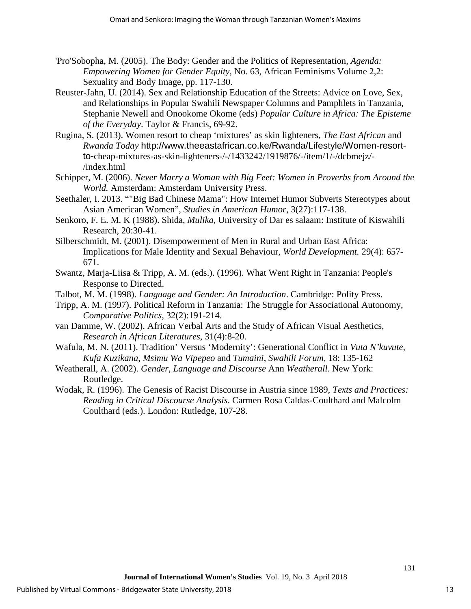- 'Pro'Sobopha, M. (2005). The Body: Gender and the Politics of Representation, *Agenda: Empowering Women for Gender Equity*, No. 63, African Feminisms Volume 2,2: Sexuality and Body Image, pp. 117-130.
- Reuster-Jahn, U. (2014). Sex and Relationship Education of the Streets: Advice on Love, Sex, and Relationships in Popular Swahili Newspaper Columns and Pamphlets in Tanzania, Stephanie Newell and [Onookome Okome \(eds\)](http://www.barnesandnoble.com/c/onookome-okome) *Popular Culture in Africa: The Episteme of the Everyday*. Taylor & Francis, 69-92.
- Rugina, S. (2013). Women resort to cheap 'mixtures' as skin lighteners, *The East African* and *Rwanda Today* http://www.theeastafrican.co.ke/Rwanda/Lifestyle/Women-resortto-cheap-mixtures-as-skin-lighteners-/-/1433242/1919876/-/item/1/-/dcbmejz/- /index.html
- Schipper, M. (2006). *Never Marry a Woman with Big Feet: Women in Proverbs from Around the World.* Amsterdam: Amsterdam University Press.
- Seethaler, I. 2013. ""Big Bad Chinese Mama": How Internet Humor Subverts Stereotypes about Asian American Women", *Studies in American Humor*, 3(27):117-138.
- Senkoro, F. E. M. K (1988). Shida, *Mulika,* University of Dar es salaam: Institute of Kiswahili Research, 20:30-41.
- Silberschmidt, M. (2001). Disempowerment of Men in Rural and Urban East Africa: Implications for Male Identity and Sexual Behaviour*, World Development.* 29(4): 657- 671.
- Swantz, Marja-Liisa & Tripp, A. M. (eds.). (1996). What Went Right in Tanzania: People's Response to Directed.
- Talbot, M. M. (1998). *Language and Gender: An Introduction*. Cambridge: Polity Press.
- Tripp, A. M. (1997). Political Reform in Tanzania: The Struggle for Associational Autonomy, *Comparative Politics*, 32(2):191-214.
- van Damme, W. (2002). African Verbal Arts and the Study of African Visual Aesthetics, *Research in African Literatures*, 31(4):8-20.
- Wafula, M. N. (2011). Tradition' Versus 'Modernity': Generational Conflict in *Vuta N'kuvute*, *Kufa Kuzikana*, *Msimu Wa Vipepeo* and *Tumaini*, *Swahili Forum,* 18: 135-162
- Weatherall, A. (2002). *Gender*, *Language and Discourse* Ann *Weatherall*. New York: Routledge.
- Wodak, R. (1996). The Genesis of Racist Discourse in Austria since 1989, *Texts and Practices: Reading in Critical Discourse Analysis*. Carmen Rosa Caldas-Coulthard and Malcolm Coulthard (eds.). London: Rutledge, 107-28.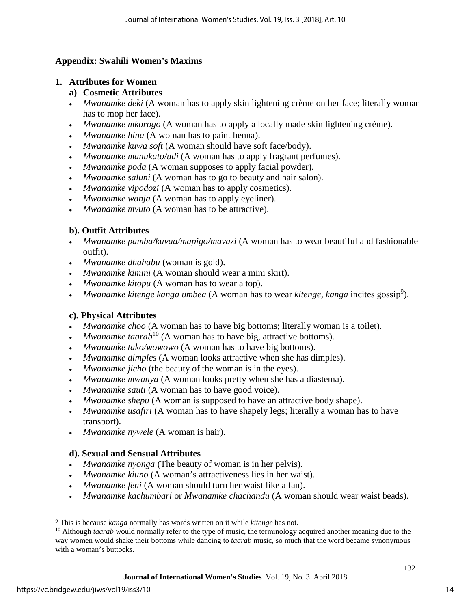## **Appendix: Swahili Women's Maxims**

### **1. Attributes for Women**

- **a) Cosmetic Attributes**
- *Mwanamke deki* (A woman has to apply skin lightening crème on her face; literally woman has to mop her face).
- *Mwanamke mkorogo* (A woman has to apply a locally made skin lightening crème).
- *Mwanamke hina* (A woman has to paint henna).
- *Mwanamke kuwa soft* (A woman should have soft face/body).
- *Mwanamke manukato/udi* (A woman has to apply fragrant perfumes).
- *Mwanamke poda* (A woman supposes to apply facial powder).
- *Mwanamke saluni* (A woman has to go to beauty and hair salon).
- *Mwanamke vipodozi* (A woman has to apply cosmetics).
- *Mwanamke wanja* (A woman has to apply eyeliner).
- *Mwanamke mvuto* (A woman has to be attractive).

## **b). Outfit Attributes**

- *Mwanamke pamba/kuvaa/mapigo/mavazi* (A woman has to wear beautiful and fashionable outfit).
- *Mwanamke dhahabu* (woman is gold).
- *Mwanamke kimini* (A woman should wear a mini skirt).
- *Mwanamke kitopu* (A woman has to wear a top).
- *Mwanamke kitenge kanga umbea* (A woman has to wear *kitenge, kanga* incites gossip<sup>9</sup>).

## **c). Physical Attributes**

- *Mwanamke choo* (A woman has to have big bottoms; literally woman is a toilet).
- *Mwanamke taarab*<sup>10</sup> (A woman has to have big, attractive bottoms).
- *Mwanamke tako/wowowo* (A woman has to have big bottoms).
- *Mwanamke dimples* (A woman looks attractive when she has dimples).
- *Mwanamke jicho* (the beauty of the woman is in the eyes).
- *Mwanamke mwanya* (A woman looks pretty when she has a diastema).
- *Mwanamke sauti* (A woman has to have good voice).
- *Mwanamke shepu* (A woman is supposed to have an attractive body shape).
- *Mwanamke usafiri* (A woman has to have shapely legs; literally a woman has to have transport).
- *Mwanamke nywele* (A woman is hair).

## **d). Sexual and Sensual Attributes**

- *Mwanamke nyonga* (The beauty of woman is in her pelvis).
- *Mwanamke kiuno* (A woman's attractiveness lies in her waist).
- *Mwanamke feni* (A woman should turn her waist like a fan).
- *Mwanamke kachumbari* or *Mwanamke chachandu* (A woman should wear waist beads).

 $\overline{a}$ <sup>9</sup> This is because *kanga* normally has words written on it while *kitenge* has not.

<sup>&</sup>lt;sup>10</sup> Although *taarab* would normally refer to the type of music, the terminology acquired another meaning due to the way women would shake their bottoms while dancing to *taarab* music, so much that the word became synonymous with a woman's buttocks.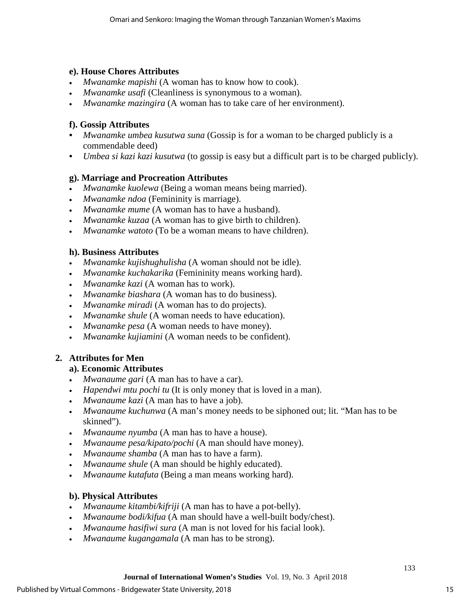## **e). House Chores Attributes**

- *Mwanamke mapishi* (A woman has to know how to cook).
- *Mwanamke usafi* (Cleanliness is synonymous to a woman).
- *Mwanamke mazingira* (A woman has to take care of her environment).

## **f). Gossip Attributes**

- *Mwanamke umbea kusutwa suna* (Gossip is for a woman to be charged publicly is a commendable deed)
- *Umbea si kazi kazi kusutwa* (to gossip is easy but a difficult part is to be charged publicly).

## **g). Marriage and Procreation Attributes**

- *Mwanamke kuolewa* (Being a woman means being married).
- *Mwanamke ndoa* (Femininity is marriage).
- *Mwanamke mume* (A woman has to have a husband).
- *Mwanamke kuzaa* (A woman has to give birth to children).
- *Mwanamke watoto* (To be a woman means to have children).

## **h). Business Attributes**

- *Mwanamke kujishughulisha* (A woman should not be idle).
- *Mwanamke kuchakarika* (Femininity means working hard).
- *Mwanamke kazi* (A woman has to work).
- *Mwanamke biashara* (A woman has to do business).
- *Mwanamke miradi* (A woman has to do projects).
- *Mwanamke shule* (A woman needs to have education).
- *Mwanamke pesa* (A woman needs to have money).
- *Mwanamke kujiamini* (A woman needs to be confident).

## **2. Attributes for Men**

## **a). Economic Attributes**

- *Mwanaume gari* (A man has to have a car).
- *Hapendwi mtu pochi tu* (It is only money that is loved in a man).
- *Mwanaume kazi* (A man has to have a job).
- *Mwanaume kuchunwa* (A man's money needs to be siphoned out; lit. "Man has to be skinned").
- *Mwanaume nyumba* (A man has to have a house).
- *Mwanaume pesa/kipato/pochi* (A man should have money).
- *Mwanaume shamba* (A man has to have a farm).
- *Mwanaume shule* (A man should be highly educated).
- *Mwanaume kutafuta* (Being a man means working hard).

## **b). Physical Attributes**

- *Mwanaume kitambi/kifriji* (A man has to have a pot-belly).
- *Mwanaume bodi/kifua* (A man should have a well-built body/chest).
- *Mwanaume hasifiwi sura* (A man is not loved for his facial look).
- *Mwanaume kugangamala* (A man has to be strong).